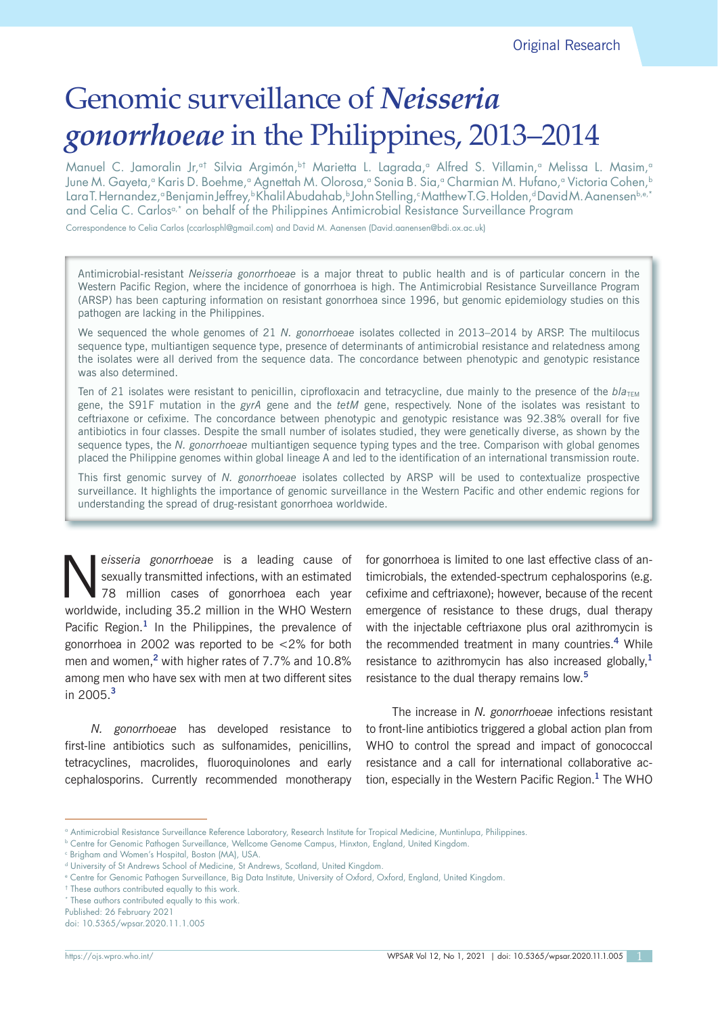# Genomic surveillance of *Neisseria gonorrhoeae* in the Philippines, 2013–2014

Manuel C. Jamoralin Jr,<sup>at</sup> Silvia Argimón,<sup>bt</sup> Marietta L. Lagrada,<sup>a</sup> Alfred S. Villamin,<sup>a</sup> Melissa L. Masim,<sup>a</sup> June M. Gayeta,<sup>a</sup> Karis D. Boehme,<sup>a</sup> Agnettah M. Olorosa,<sup>a</sup> Sonia B. Sia,<sup>a</sup> Charmian M. Hufano,<sup>a</sup> Victoria Cohen,<sup>b</sup> LaraT. Hernandez,ªBenjamin Jeffrey,ʰKhalil Abudahab,ʰJohn Stelling,¢MatthewT.G. Holden,ªDavid M. Aanensenʰ.®.\* and Celia C. Carlos<sup>a,\*</sup> on behalf of the Philippines Antimicrobial Resistance Surveillance Program

Correspondence to Celia Carlos (ccarlosphl@gmail.com) and David M. Aanensen (David.aanensen@bdi.ox.ac.uk)

Antimicrobial-resistant *Neisseria gonorrhoeae* is a major threat to public health and is of particular concern in the Western Pacific Region, where the incidence of gonorrhoea is high. The Antimicrobial Resistance Surveillance Program (ARSP) has been capturing information on resistant gonorrhoea since 1996, but genomic epidemiology studies on this pathogen are lacking in the Philippines.

We sequenced the whole genomes of 21 *N. gonorrhoeae* isolates collected in 2013–2014 by ARSP. The multilocus sequence type, multiantigen sequence type, presence of determinants of antimicrobial resistance and relatedness among the isolates were all derived from the sequence data. The concordance between phenotypic and genotypic resistance was also determined.

Ten of 21 isolates were resistant to penicillin, ciprofloxacin and tetracycline, due mainly to the presence of the  $b/a<sub>TFM</sub>$ gene, the S91F mutation in the *gyrA* gene and the *tetM* gene, respectively. None of the isolates was resistant to ceftriaxone or cefixime. The concordance between phenotypic and genotypic resistance was 92.38% overall for five antibiotics in four classes. Despite the small number of isolates studied, they were genetically diverse, as shown by the sequence types, the *N. gonorrhoeae* multiantigen sequence typing types and the tree. Comparison with global genomes placed the Philippine genomes within global lineage A and led to the identification of an international transmission route.

This first genomic survey of *N. gonorrhoeae* isolates collected by ARSP will be used to contextualize prospective surveillance. It highlights the importance of genomic surveillance in the Western Pacific and other endemic regions for understanding the spread of drug-resistant gonorrhoea worldwide.

**N** eisseria gonorrhoeae is a leading cause of<br>sexually transmitted infections, with an estimated<br>78 million cases of gonorrhoea each year<br>weak with including 25.2 million in the WHO Western sexually transmitted infections, with an estimated 78 million cases of gonorrhoea each year worldwide, including 35.2 million in the WHO Western Pacific Region.**<sup>1</sup>** In the Philippines, the prevalence of gonorrhoea in 2002 was reported to be <2% for both men and women,**<sup>2</sup>** with higher rates of 7.7% and 10.8% among men who have sex with men at two different sites in 2005.**<sup>3</sup>**

*N. gonorrhoeae* has developed resistance to first-line antibiotics such as sulfonamides, penicillins, tetracyclines, macrolides, fluoroquinolones and early cephalosporins. Currently recommended monotherapy for gonorrhoea is limited to one last effective class of antimicrobials, the extended-spectrum cephalosporins (e.g. cefixime and ceftriaxone); however, because of the recent emergence of resistance to these drugs, dual therapy with the injectable ceftriaxone plus oral azithromycin is the recommended treatment in many countries.**<sup>4</sup>** While resistance to azithromycin has also increased globally,**<sup>1</sup>** resistance to the dual therapy remains low.**<sup>5</sup>**

The increase in *N. gonorrhoeae* infections resistant to front-line antibiotics triggered a global action plan from WHO to control the spread and impact of gonococcal resistance and a call for international collaborative action, especially in the Western Pacific Region.**<sup>1</sup>** The WHO

<sup>†</sup> These authors contributed equally to this work.

\* These authors contributed equally to this work.

Published: 26 February 2021 doi: 10.5365/wpsar.2020.11.1.005

a Antimicrobial Resistance Surveillance Reference Laboratory, Research Institute for Tropical Medicine, Muntinlupa, Philippines.

b Centre for Genomic Pathogen Surveillance, Wellcome Genome Campus, Hinxton, England, United Kingdom.

c Brigham and Women's Hospital, Boston (MA), USA.

d University of St Andrews School of Medicine, St Andrews, Scotland, United Kingdom.

e Centre for Genomic Pathogen Surveillance, Big Data Institute, University of Oxford, Oxford, England, United Kingdom.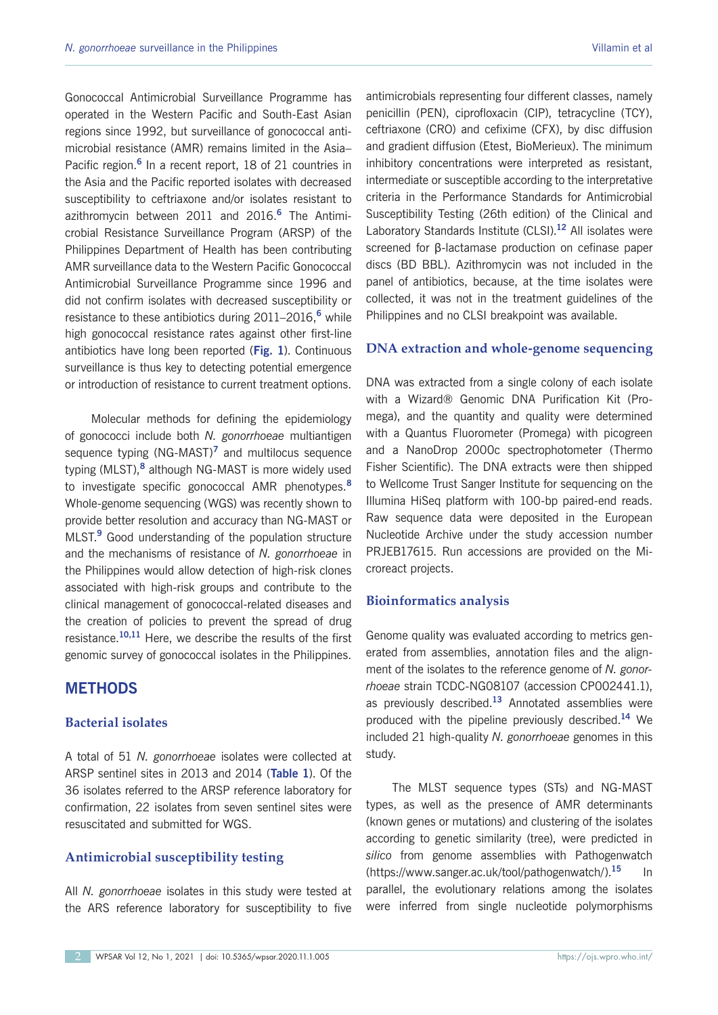Gonococcal Antimicrobial Surveillance Programme has operated in the Western Pacific and South-East Asian regions since 1992, but surveillance of gonococcal antimicrobial resistance (AMR) remains limited in the Asia– Pacific region.**<sup>6</sup>** In a recent report, 18 of 21 countries in the Asia and the Pacific reported isolates with decreased susceptibility to ceftriaxone and/or isolates resistant to azithromycin between 2011 and 2016.**<sup>6</sup>** The Antimicrobial Resistance Surveillance Program (ARSP) of the Philippines Department of Health has been contributing AMR surveillance data to the Western Pacific Gonococcal Antimicrobial Surveillance Programme since 1996 and did not confirm isolates with decreased susceptibility or resistance to these antibiotics during 2011–2016,**<sup>6</sup>** while high gonococcal resistance rates against other first-line antibiotics have long been reported (**Fig. 1**). Continuous surveillance is thus key to detecting potential emergence or introduction of resistance to current treatment options.

Molecular methods for defining the epidemiology of gonococci include both *N. gonorrhoeae* multiantigen sequence typing (NG-MAST)**<sup>7</sup>** and multilocus sequence typing (MLST),**<sup>8</sup>** although NG-MAST is more widely used to investigate specific gonococcal AMR phenotypes.**<sup>8</sup>** Whole-genome sequencing (WGS) was recently shown to provide better resolution and accuracy than NG-MAST or MLST.**<sup>9</sup>** Good understanding of the population structure and the mechanisms of resistance of *N. gonorrhoeae* in the Philippines would allow detection of high-risk clones associated with high-risk groups and contribute to the clinical management of gonococcal-related diseases and the creation of policies to prevent the spread of drug resistance.**10,11** Here, we describe the results of the first genomic survey of gonococcal isolates in the Philippines.

# **METHODS**

# **Bacterial isolates**

A total of 51 *N. gonorrhoeae* isolates were collected at ARSP sentinel sites in 2013 and 2014 (**Table 1**). Of the 36 isolates referred to the ARSP reference laboratory for confirmation, 22 isolates from seven sentinel sites were resuscitated and submitted for WGS.

# **Antimicrobial susceptibility testing**

All *N. gonorrhoeae* isolates in this study were tested at the ARS reference laboratory for susceptibility to five

antimicrobials representing four different classes, namely penicillin (PEN), ciprofloxacin (CIP), tetracycline (TCY), ceftriaxone (CRO) and cefixime (CFX), by disc diffusion and gradient diffusion (Etest, BioMerieux). The minimum inhibitory concentrations were interpreted as resistant, intermediate or susceptible according to the interpretative criteria in the Performance Standards for Antimicrobial Susceptibility Testing (26th edition) of the Clinical and Laboratory Standards Institute (CLSI).**<sup>12</sup>** All isolates were

screened for β-lactamase production on cefinase paper discs (BD BBL). Azithromycin was not included in the panel of antibiotics, because, at the time isolates were collected, it was not in the treatment guidelines of the Philippines and no CLSI breakpoint was available.

## **DNA extraction and whole-genome sequencing**

DNA was extracted from a single colony of each isolate with a Wizard® Genomic DNA Purification Kit (Promega), and the quantity and quality were determined with a Quantus Fluorometer (Promega) with picogreen and a NanoDrop 2000c spectrophotometer (Thermo Fisher Scientific). The DNA extracts were then shipped to Wellcome Trust Sanger Institute for sequencing on the Illumina HiSeq platform with 100-bp paired-end reads. Raw sequence data were deposited in the European Nucleotide Archive under the study accession number PRJEB17615. Run accessions are provided on the Microreact projects.

#### **Bioinformatics analysis**

Genome quality was evaluated according to metrics generated from assemblies, annotation files and the alignment of the isolates to the reference genome of *N. gonorrhoeae* strain TCDC-NG08107 (accession CP002441.1), as previously described.**<sup>13</sup>** Annotated assemblies were produced with the pipeline previously described.**<sup>14</sup>** We included 21 high-quality *N. gonorrhoeae* genomes in this study.

The MLST sequence types (STs) and NG-MAST types, as well as the presence of AMR determinants (known genes or mutations) and clustering of the isolates according to genetic similarity (tree), were predicted in *silico* from genome assemblies with Pathogenwatch (https://www.sanger.ac.uk/tool/pathogenwatch/).**<sup>15</sup>** In parallel, the evolutionary relations among the isolates were inferred from single nucleotide polymorphisms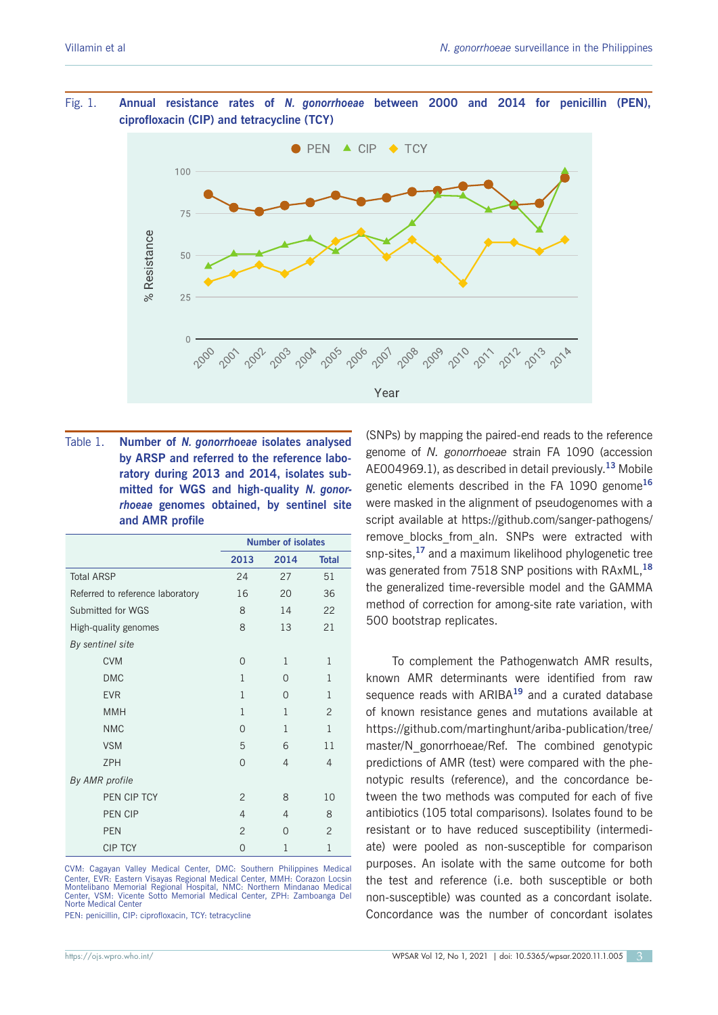Fig. 1. **Annual resistance rates of** *N. gonorrhoeae* **between 2000 and 2014 for penicillin (PEN), ciprofloxacin (CIP) and tetracycline (TCY)**



| Table 1. | Number of N. gonorrhoeae isolates analysed       |
|----------|--------------------------------------------------|
|          | by ARSP and referred to the reference labo-      |
|          | ratory during 2013 and 2014, isolates sub-       |
|          | mitted for WGS and high-quality N. gonor-        |
|          | <i>rhoeae</i> genomes obtained, by sentinel site |
|          | and AMR profile                                  |

|                                  | <b>Number of isolates</b> |                |                |
|----------------------------------|---------------------------|----------------|----------------|
|                                  | 2013                      | 2014           | <b>Total</b>   |
| <b>Total ARSP</b>                | 24                        | 27             | 51             |
| Referred to reference laboratory | 16                        | 20             | 36             |
| Submitted for WGS                | 8                         | 14             | 22             |
| High-quality genomes             | 8                         | 13             | 21             |
| By sentinel site                 |                           |                |                |
| <b>CVM</b>                       | 0                         | 1              | 1              |
| <b>DMC</b>                       | 1                         | $\Omega$       | 1              |
| <b>EVR</b>                       | 1                         | $\Omega$       | 1              |
| <b>MMH</b>                       | 1                         | 1              | $\overline{2}$ |
| <b>NMC</b>                       | $\Omega$                  | 1              | 1              |
| <b>VSM</b>                       | 5                         | 6              | 11             |
| <b>ZPH</b>                       | 0                         | $\overline{4}$ | $\overline{4}$ |
| By AMR profile                   |                           |                |                |
| PEN CIP TCY                      | $\overline{2}$            | 8              | 10             |
| <b>PEN CIP</b>                   | 4                         | $\overline{4}$ | 8              |
| <b>PEN</b>                       | $\overline{2}$            | $\Omega$       | $\overline{2}$ |
| <b>CIP TCY</b>                   | 0                         | 1              | $\mathbf{1}$   |

CVM: Cagayan Valley Medical Center, DMC: Southern Philippines Medical Center, EVR: Eastern Visayas Regional Medical Center, MMH: Corazon Locsin<br>Montelibano Memorial Regional Hospital, NMC: Northern Mindanao Medical<br>Center, VSM: Vicente Sotto Memorial Medical Center, ZPH: Zamboanga Del<br>Norte

PEN: penicillin, CIP: ciprofloxacin, TCY: tetracycline

(SNPs) by mapping the paired-end reads to the reference genome of *N. gonorrhoeae* strain FA 1090 (accession AE004969.1), as described in detail previously.**<sup>13</sup>** Mobile genetic elements described in the FA 1090 genome**<sup>16</sup>** were masked in the alignment of pseudogenomes with a script available at https://github.com/sanger-pathogens/ remove blocks from aln. SNPs were extracted with snp-sites,**<sup>17</sup>** and a maximum likelihood phylogenetic tree was generated from 7518 SNP positions with RAxML,**<sup>18</sup>** the generalized time-reversible model and the GAMMA method of correction for among-site rate variation, with 500 bootstrap replicates.

To complement the Pathogenwatch AMR results, known AMR determinants were identified from raw sequence reads with ARIBA**<sup>19</sup>** and a curated database of known resistance genes and mutations available at https://github.com/martinghunt/ariba-publication/tree/ master/N\_gonorrhoeae/Ref. The combined genotypic predictions of AMR (test) were compared with the phenotypic results (reference), and the concordance between the two methods was computed for each of five antibiotics (105 total comparisons). Isolates found to be resistant or to have reduced susceptibility (intermediate) were pooled as non-susceptible for comparison purposes. An isolate with the same outcome for both the test and reference (i.e. both susceptible or both non-susceptible) was counted as a concordant isolate. Concordance was the number of concordant isolates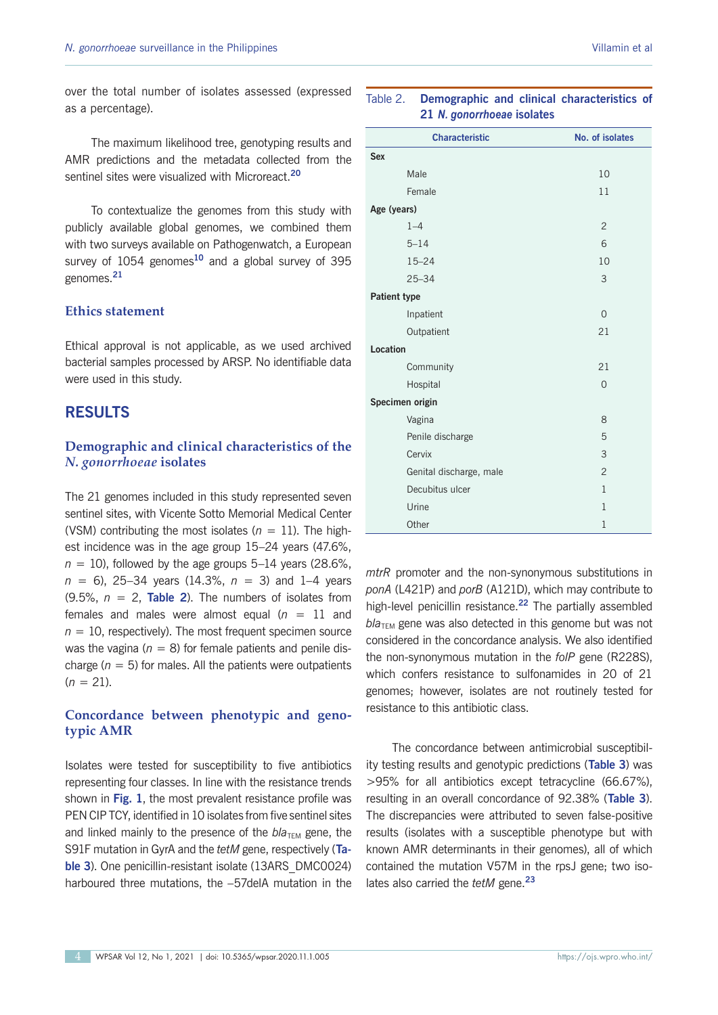over the total number of isolates assessed (expressed as a percentage).

The maximum likelihood tree, genotyping results and AMR predictions and the metadata collected from the sentinel sites were visualized with Microreact.**<sup>20</sup>**

To contextualize the genomes from this study with publicly available global genomes, we combined them with two surveys available on Pathogenwatch, a European survey of 1054 genomes**<sup>10</sup>** and a global survey of 395 genomes.**<sup>21</sup>**

# **Ethics statement**

Ethical approval is not applicable, as we used archived bacterial samples processed by ARSP. No identifiable data were used in this study.

## **RESULTS**

# **Demographic and clinical characteristics of the**  *N. gonorrhoeae* **isolates**

The 21 genomes included in this study represented seven sentinel sites, with Vicente Sotto Memorial Medical Center (VSM) contributing the most isolates  $(n = 11)$ . The highest incidence was in the age group 15–24 years (47.6%,  $n = 10$ ), followed by the age groups 5–14 years (28.6%, *n* = 6), 25–34 years (14.3%, *n* = 3) and 1–4 years (9.5%, *n* = 2, **Table 2**). The numbers of isolates from females and males were almost equal  $(n = 11$  and  $n = 10$ , respectively). The most frequent specimen source was the vagina ( $n = 8$ ) for female patients and penile discharge ( $n = 5$ ) for males. All the patients were outpatients  $(n = 21)$ .

# **Concordance between phenotypic and genotypic AMR**

Isolates were tested for susceptibility to five antibiotics representing four classes. In line with the resistance trends shown in **Fig. 1**, the most prevalent resistance profile was PEN CIP TCY, identified in 10 isolates from five sentinel sites and linked mainly to the presence of the  $b/a$ <sub>TEM</sub> gene, the S91F mutation in GyrA and the *tetM* gene, respectively (**Table 3**). One penicillin-resistant isolate (13ARS\_DMC0024) harboured three mutations, the -57delA mutation in the

# Table 2. **Demographic and clinical characteristics of 21** *N. gonorrhoeae* **isolates**

| <b>Characteristic</b>   | No. of isolates |  |  |
|-------------------------|-----------------|--|--|
| <b>Sex</b>              |                 |  |  |
| Male                    | 10              |  |  |
| Female                  | 11              |  |  |
| Age (years)             |                 |  |  |
| $1 - 4$                 | $\overline{2}$  |  |  |
| $5 - 14$                | 6               |  |  |
| $15 - 24$               | 10              |  |  |
| $25 - 34$               | 3               |  |  |
| <b>Patient type</b>     |                 |  |  |
| Inpatient               | $\overline{0}$  |  |  |
| Outpatient              | 21              |  |  |
| Location                |                 |  |  |
| Community               | 21              |  |  |
| Hospital                | $\Omega$        |  |  |
| Specimen origin         |                 |  |  |
| Vagina                  | 8               |  |  |
| Penile discharge        | 5               |  |  |
| Cervix                  | 3               |  |  |
| Genital discharge, male | $\overline{2}$  |  |  |
| Decubitus ulcer         | $\mathbf{1}$    |  |  |
| Urine                   | $\mathbf{1}$    |  |  |
| Other                   | $\mathbf{1}$    |  |  |

*mtrR* promoter and the non-synonymous substitutions in *ponA* (L421P) and *porB* (A121D), which may contribute to high-level penicillin resistance.**<sup>22</sup>** The partially assembled  $b/a<sub>TEM</sub>$  gene was also detected in this genome but was not considered in the concordance analysis. We also identified the non-synonymous mutation in the *folP* gene (R228S), which confers resistance to sulfonamides in 20 of 21 genomes; however, isolates are not routinely tested for resistance to this antibiotic class.

The concordance between antimicrobial susceptibility testing results and genotypic predictions (**Table 3**) was >95% for all antibiotics except tetracycline (66.67%), resulting in an overall concordance of 92.38% (**Table 3**). The discrepancies were attributed to seven false-positive results (isolates with a susceptible phenotype but with known AMR determinants in their genomes), all of which contained the mutation V57M in the rpsJ gene; two isolates also carried the *tetM* gene.**<sup>23</sup>**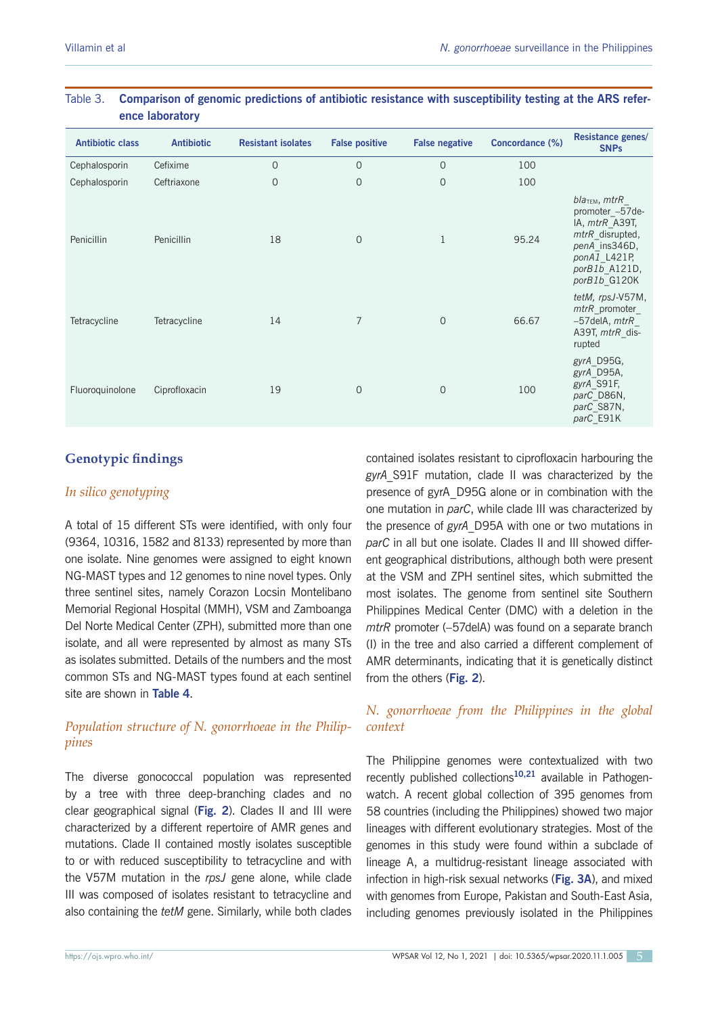| <b>Antibiotic class</b> | <b>Antibiotic</b> | <b>Resistant isolates</b> | <b>False positive</b> | <b>False negative</b> | Concordance (%) | <b>Resistance genes/</b><br><b>SNPs</b>                                                                                                      |
|-------------------------|-------------------|---------------------------|-----------------------|-----------------------|-----------------|----------------------------------------------------------------------------------------------------------------------------------------------|
| Cephalosporin           | Cefixime          | $\overline{O}$            | $\mathbf{0}$          | $\mathbf{O}$          | 100             |                                                                                                                                              |
| Cephalosporin           | Ceftriaxone       | $\overline{O}$            | $\mathbf{O}$          | $\mathbf{O}$          | 100             |                                                                                                                                              |
| Penicillin              | Penicillin        | 18                        | $\mathbf{O}$          | 1                     | 95.24           | $blaTEM$ , mtr $R$<br>promoter_-57de-<br>IA, mtrR A39T,<br>mtrR disrupted,<br>penA ins346D,<br>ponA1 L421P,<br>porB1b_A121D,<br>porB1b_G120K |
| Tetracycline            | Tetracycline      | 14                        | $\overline{7}$        | $\mathbf{0}$          | 66.67           | tetM, rpsJ-V57M,<br>mtrR promoter<br>$-57$ delA, mtr $R$<br>A39T, mtrR dis-<br>rupted                                                        |
| Fluoroquinolone         | Ciprofloxacin     | 19                        | $\mathbf{O}$          | $\mathbf{O}$          | 100             | gyrA D95G,<br>gyrA D95A,<br>gyrA_S91F,<br>parC_D86N,<br>parC S87N,<br>parC E91K                                                              |

# Table 3. **Comparison of genomic predictions of antibiotic resistance with susceptibility testing at the ARS reference laboratory**

# **Genotypic findings**

# *In silico genotyping*

A total of 15 different STs were identified, with only four (9364, 10316, 1582 and 8133) represented by more than one isolate. Nine genomes were assigned to eight known NG-MAST types and 12 genomes to nine novel types. Only three sentinel sites, namely Corazon Locsin Montelibano Memorial Regional Hospital (MMH), VSM and Zamboanga Del Norte Medical Center (ZPH), submitted more than one isolate, and all were represented by almost as many STs as isolates submitted. Details of the numbers and the most common STs and NG-MAST types found at each sentinel site are shown in **Table 4**.

# *Population structure of N. gonorrhoeae in the Philippines*

The diverse gonococcal population was represented by a tree with three deep-branching clades and no clear geographical signal (**Fig. 2**). Clades II and III were characterized by a different repertoire of AMR genes and mutations. Clade II contained mostly isolates susceptible to or with reduced susceptibility to tetracycline and with the V57M mutation in the *rpsJ* gene alone, while clade III was composed of isolates resistant to tetracycline and also containing the *tetM* gene. Similarly, while both clades

contained isolates resistant to ciprofloxacin harbouring the *gyrA*\_S91F mutation, clade II was characterized by the presence of gyrA\_D95G alone or in combination with the one mutation in *parC*, while clade III was characterized by the presence of *gyrA*\_D95A with one or two mutations in *parC* in all but one isolate. Clades II and III showed different geographical distributions, although both were present at the VSM and ZPH sentinel sites, which submitted the most isolates. The genome from sentinel site Southern Philippines Medical Center (DMC) with a deletion in the *mtrR* promoter (–57delA) was found on a separate branch (I) in the tree and also carried a different complement of AMR determinants, indicating that it is genetically distinct from the others (**Fig. 2**).

# *N. gonorrhoeae from the Philippines in the global context*

The Philippine genomes were contextualized with two recently published collections**10,21** available in Pathogenwatch. A recent global collection of 395 genomes from 58 countries (including the Philippines) showed two major lineages with different evolutionary strategies. Most of the genomes in this study were found within a subclade of lineage A, a multidrug-resistant lineage associated with infection in high-risk sexual networks (**Fig. 3A**), and mixed with genomes from Europe, Pakistan and South-East Asia, including genomes previously isolated in the Philippines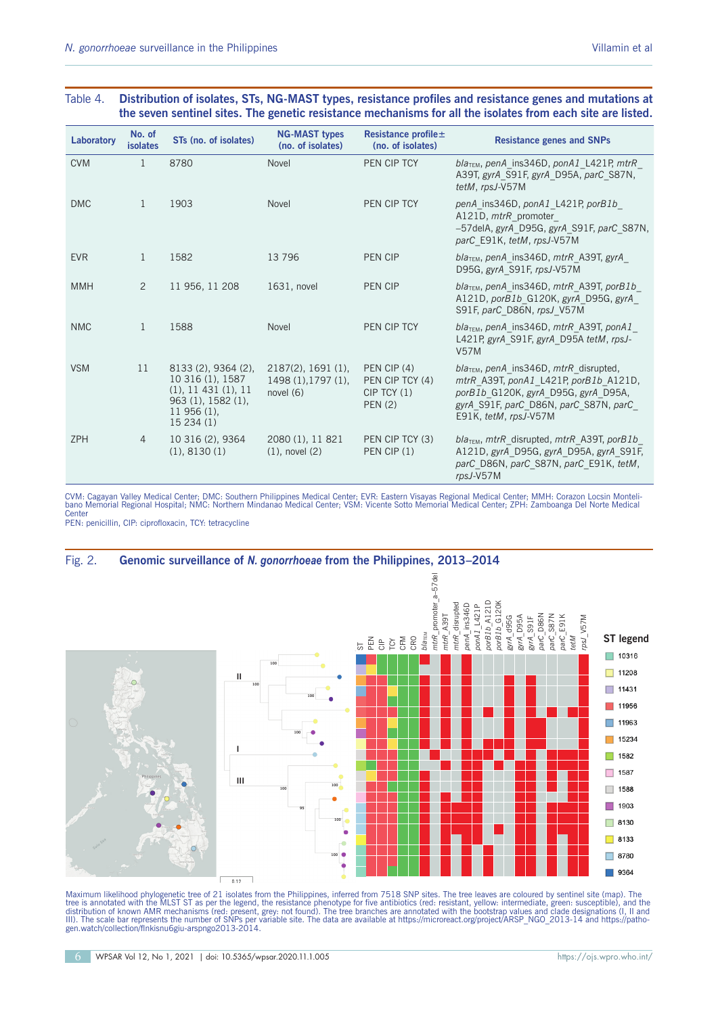#### Table 4. **Distribution of isolates, STs, NG-MAST types, resistance profiles and resistance genes and mutations at the seven sentinel sites. The genetic resistance mechanisms for all the isolates from each site are listed.**

| Laboratory | No. of<br><b>isolates</b> | STs (no. of isolates)                                                                                          | <b>NG-MAST types</b><br>(no. of isolates)                           | Resistance profile $\pm$<br>(no. of isolates)                       | <b>Resistance genes and SNPs</b>                                                                                                                                                           |
|------------|---------------------------|----------------------------------------------------------------------------------------------------------------|---------------------------------------------------------------------|---------------------------------------------------------------------|--------------------------------------------------------------------------------------------------------------------------------------------------------------------------------------------|
| <b>CVM</b> | 1                         | 8780                                                                                                           | Novel                                                               | PEN CIP TCY                                                         | $blaTEM$ , penA ins346D, ponA1 L421P, mtrR<br>A39T, gyrA S91F, gyrA D95A, parC S87N,<br>tetM, rpsJ-V57M                                                                                    |
| <b>DMC</b> | $\overline{1}$            | 1903                                                                                                           | Novel                                                               | PEN CIP TCY                                                         | penA ins346D, ponA1 L421P, porB1b<br>A121D, mtrR promoter<br>-57delA, gyrA D95G, gyrA S91F, parC S87N,<br>parC_E91K, tetM, rpsJ-V57M                                                       |
| <b>EVR</b> | 1                         | 1582                                                                                                           | 13796                                                               | PEN CIP                                                             | bla <sub>TEM</sub> , penA_ins346D, mtrR_A39T, gyrA_<br>D95G, gyrA S91F, rpsJ-V57M                                                                                                          |
| <b>MMH</b> | $\overline{2}$            | 11 956, 11 208                                                                                                 | 1631, novel                                                         | PEN CIP                                                             | $blaTEM$ , penA ins346D, mtrR A39T, porB1b<br>A121D, porB1b G120K, gyrA D95G, gyrA<br>S91F, parC D86N, rpsJ V57M                                                                           |
| <b>NMC</b> | 1                         | 1588                                                                                                           | Novel                                                               | PEN CIP TCY                                                         | bla <sub>TEM</sub> , penA_ins346D, mtrR_A39T, ponA1_<br>L421P, gyrA S91F, gyrA D95A tetM, rpsJ-<br><b>V57M</b>                                                                             |
| <b>VSM</b> | 11                        | 8133 (2), 9364 (2),<br>10 316 (1), 1587<br>(1), 11431(1), 11<br>963 (1), 1582 (1),<br>$11956(1)$ ,<br>15234(1) | $2187(2)$ , 1691 $(1)$ ,<br>$1498(1)$ , 1797 $(1)$ ,<br>novel $(6)$ | PEN CIP (4)<br>PEN CIP TCY (4)<br>$CIP$ TCY $(1)$<br><b>PEN (2)</b> | $blaTEM$ , penA_ins346D, mtrR_disrupted,<br>mtrR_A39T, ponA1_L421P, porB1b_A121D,<br>porB1b_G120K, gyrA_D95G, gyrA_D95A,<br>gyrA S91F, parC D86N, parC S87N, parC<br>E91K, tetM, rpsJ-V57M |
| <b>ZPH</b> | $\overline{4}$            | 10 316 (2), 9364<br>(1), 8130(1)                                                                               | 2080 (1), 11 821<br>$(1)$ , novel $(2)$                             | PEN CIP TCY (3)<br>PEN CIP(1)                                       | $blaTEM$ , mtrR disrupted, mtrR A39T, porB1b<br>A121D, gyrA D95G, gyrA D95A, gyrA S91F,<br>parC D86N, parC S87N, parC E91K, tetM,<br>rpsJ-V57M                                             |

CVM: Cagayan Valley Medical Center; DMC: Southern Philippines Medical Center; EVR: Eastern Visayas Regional Medical Center; MMH: Corazon Locsin Monteli-<br>bano Memorial Regional Hospital; NMC: Northern Mindanao Medical Cente

PEN: penicillin, CIP: ciprofloxacin, TCY: tetracycline

#### Fig. 2. **Genomic surveillance of** *N. gonorrhoeae* **from the Philippines, 2013–2014** mtrR\_promoter\_a-57del *mtrR*\_promoter\_a–57del porB1b\_A121D<br>porB1b\_G120K mtrR disrupted *porB1b*\_A121D *porB1b*\_G120K *mtrR*\_disrupted penA\_ins346D *penA*\_ins346D 00741 L421P *ponA1*\_L421P *gyrA\_*D95A<br>*gyrA\_*S91F<br>*gyrA\_*S91F<br>*parC\_*S87N<br>*parC\_*E91K<br>*parC\_*E91K  $ntrR$   $A39T$ *mtrR*\_A39T *gyrA*\_d95G *parC*\_D86N *gyrA*\_D95A *parC*\_S87N *parC*\_E91K *rpsJ*\_V57M *bla<sub>TEM</sub>*  $M_{\rm M}$ DarC **Diec Diec** *tetM* **ST legend** ន ដី ទី 5 នី 8  $\Box$ 10316 **100**  $\Box$  11208 **II 100** m. 11431 **100**  $\blacksquare$  11956  $\Box$  11963 **100**  $\Box$  15234 **I T** 1582 1587  $\Box$ **III 100** 1588  $\Box$ **100** 1903 m. **95** $\Box$  8130 **100** 8133  $\bullet$ П 8780 **100**  $\Box$  9364  $0.12$

Maximum likelihood phylogenetic tree of 21 isolates from the Philippines, inferred from 7518 SNP sites. The tree leaves are coloured by sentinel site (map). The<br>tree is annotated with the MLST ST as per the legend, the res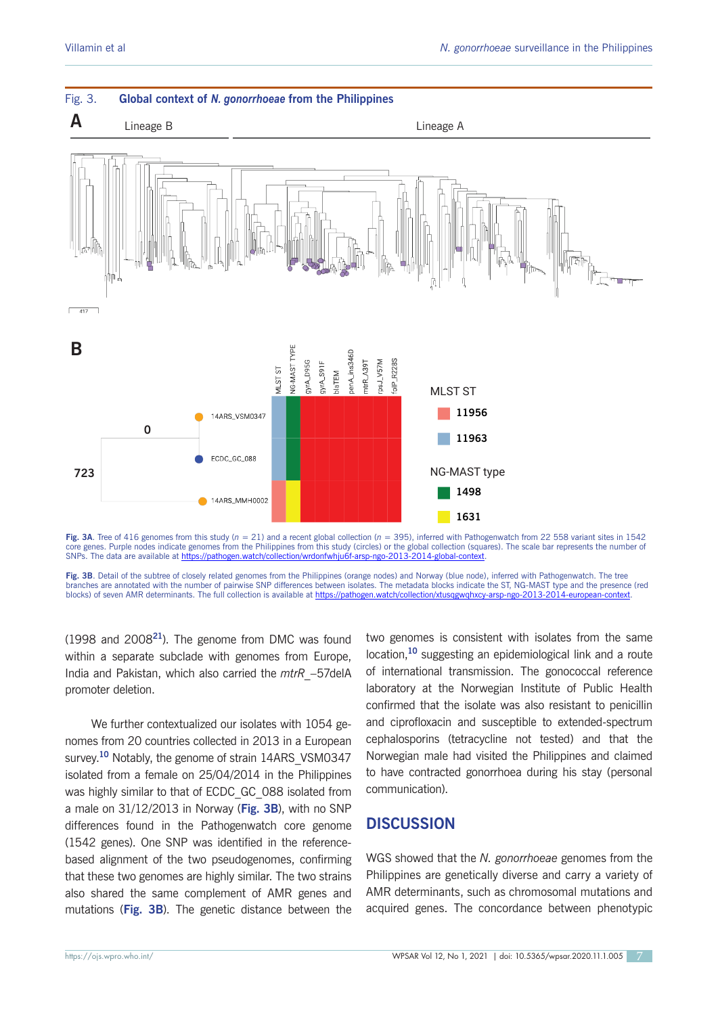

**Fig. 3A**. Tree of 416 genomes from this study (*n* = 21) and a recent global collection (*n* = 395), inferred with Pathogenwatch from 22 558 variant sites in 1542 core genes. Purple nodes indicate genomes from the Philippines from this study (circles) or the global collection (squares). The scale bar represents the number of SNPs. The data are available at https://pathogen.watch/collection/wrdonfwhju6f-arsp-ngo-2013-2014-global-context.

**Fig. 3B**. Detail of the subtree of closely related genomes from the Philippines (orange nodes) and Norway (blue node), inferred with Pathogenwatch. The tree branches are annotated with the number of pairwise SNP differences between isolates. The metadata blocks indicate the ST, NG-MAST type and the presence (red<br>blocks) of seven AMR determinants. The full collection is availab blocks) of seven AMR determinants. The full collection is available at https://pathogen.watch/collection/xtusqgwqhxcy-arsp-ng

(1998 and 2008**<sup>21</sup>**). The genome from DMC was found within a separate subclade with genomes from Europe, India and Pakistan, which also carried the *mtrR*\_–57delA promoter deletion.

We further contextualized our isolates with 1054 genomes from 20 countries collected in 2013 in a European survey.<sup>10</sup> Notably, the genome of strain 14ARS\_VSM0347 isolated from a female on 25/04/2014 in the Philippines was highly similar to that of ECDC\_GC\_088 isolated from a male on 31/12/2013 in Norway (**Fig. 3B**), with no SNP differences found in the Pathogenwatch core genome (1542 genes). One SNP was identified in the referencebased alignment of the two pseudogenomes, confirming that these two genomes are highly similar. The two strains also shared the same complement of AMR genes and mutations (**Fig. 3B**). The genetic distance between the

two genomes is consistent with isolates from the same location,**<sup>10</sup>** suggesting an epidemiological link and a route of international transmission. The gonococcal reference laboratory at the Norwegian Institute of Public Health confirmed that the isolate was also resistant to penicillin and ciprofloxacin and susceptible to extended-spectrum cephalosporins (tetracycline not tested) and that the Norwegian male had visited the Philippines and claimed to have contracted gonorrhoea during his stay (personal communication).

# **DISCUSSION**

WGS showed that the *N. gonorrhoeae* genomes from the Philippines are genetically diverse and carry a variety of AMR determinants, such as chromosomal mutations and acquired genes. The concordance between phenotypic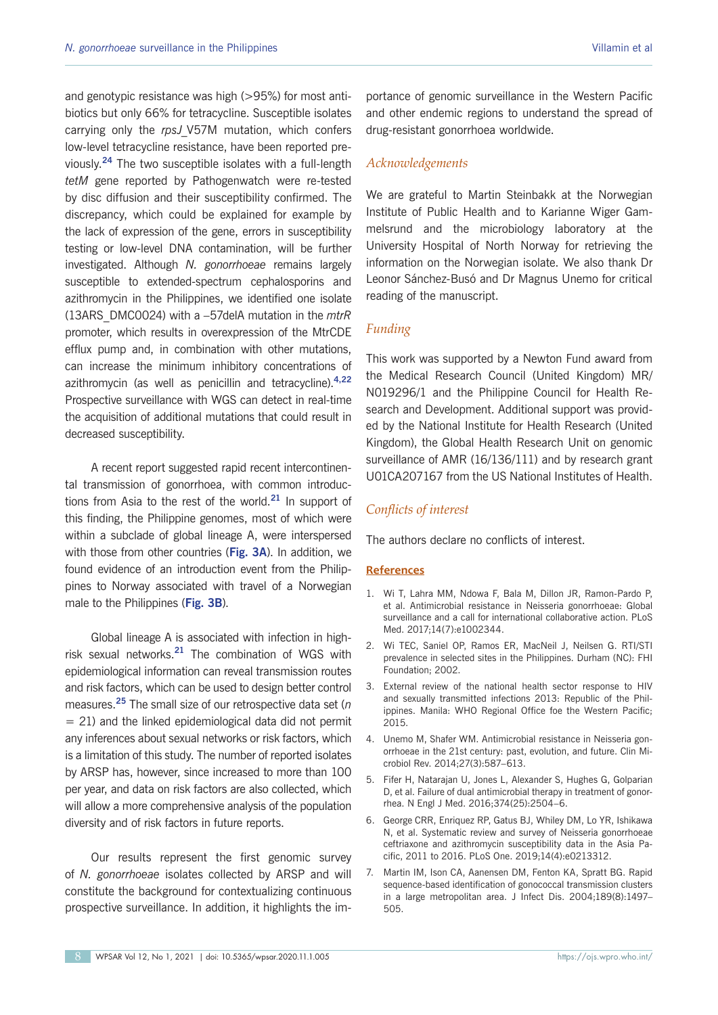and genotypic resistance was high (>95%) for most antibiotics but only 66% for tetracycline. Susceptible isolates carrying only the *rpsJ*\_V57M mutation, which confers low-level tetracycline resistance, have been reported previously.**<sup>24</sup>** The two susceptible isolates with a full-length *tetM* gene reported by Pathogenwatch were re-tested by disc diffusion and their susceptibility confirmed. The discrepancy, which could be explained for example by the lack of expression of the gene, errors in susceptibility testing or low-level DNA contamination, will be further investigated. Although *N. gonorrhoeae* remains largely susceptible to extended-spectrum cephalosporins and azithromycin in the Philippines, we identified one isolate (13ARS\_DMC0024) with a –57delA mutation in the *mtrR* promoter, which results in overexpression of the MtrCDE efflux pump and, in combination with other mutations, can increase the minimum inhibitory concentrations of azithromycin (as well as penicillin and tetracycline).**4,22** Prospective surveillance with WGS can detect in real-time the acquisition of additional mutations that could result in decreased susceptibility.

A recent report suggested rapid recent intercontinental transmission of gonorrhoea, with common introductions from Asia to the rest of the world.**<sup>21</sup>** In support of this finding, the Philippine genomes, most of which were within a subclade of global lineage A, were interspersed with those from other countries (**Fig. 3A**). In addition, we found evidence of an introduction event from the Philippines to Norway associated with travel of a Norwegian male to the Philippines (**Fig. 3B**).

Global lineage A is associated with infection in highrisk sexual networks.**<sup>21</sup>** The combination of WGS with epidemiological information can reveal transmission routes and risk factors, which can be used to design better control measures.**<sup>25</sup>** The small size of our retrospective data set (*n*  $= 21$ ) and the linked epidemiological data did not permit any inferences about sexual networks or risk factors, which is a limitation of this study. The number of reported isolates by ARSP has, however, since increased to more than 100 per year, and data on risk factors are also collected, which will allow a more comprehensive analysis of the population diversity and of risk factors in future reports.

Our results represent the first genomic survey of *N. gonorrhoeae* isolates collected by ARSP and will constitute the background for contextualizing continuous prospective surveillance. In addition, it highlights the importance of genomic surveillance in the Western Pacific and other endemic regions to understand the spread of drug-resistant gonorrhoea worldwide.

#### *Acknowledgements*

We are grateful to Martin Steinbakk at the Norwegian Institute of Public Health and to Karianne Wiger Gammelsrund and the microbiology laboratory at the University Hospital of North Norway for retrieving the information on the Norwegian isolate. We also thank Dr Leonor Sánchez-Busó and Dr Magnus Unemo for critical reading of the manuscript.

#### *Funding*

This work was supported by a Newton Fund award from the Medical Research Council (United Kingdom) MR/ N019296/1 and the Philippine Council for Health Research and Development. Additional support was provided by the National Institute for Health Research (United Kingdom), the Global Health Research Unit on genomic surveillance of AMR (16/136/111) and by research grant U01CA207167 from the US National Institutes of Health.

#### *Conflicts of interest*

The authors declare no conflicts of interest.

#### **References**

- 1. Wi T, Lahra MM, Ndowa F, Bala M, Dillon JR, Ramon-Pardo P, et al. Antimicrobial resistance in Neisseria gonorrhoeae: Global surveillance and a call for international collaborative action. PLoS Med. 2017;14(7):e1002344.
- 2. Wi TEC, Saniel OP, Ramos ER, MacNeil J, Neilsen G. RTI/STI prevalence in selected sites in the Philippines. Durham (NC): FHI Foundation; 2002.
- 3. External review of the national health sector response to HIV and sexually transmitted infections 2013: Republic of the Philippines. Manila: WHO Regional Office foe the Western Pacific; 2015.
- 4. Unemo M, Shafer WM. Antimicrobial resistance in Neisseria gonorrhoeae in the 21st century: past, evolution, and future. Clin Microbiol Rev. 2014;27(3):587–613.
- 5. Fifer H, Natarajan U, Jones L, Alexander S, Hughes G, Golparian D, et al. Failure of dual antimicrobial therapy in treatment of gonorrhea. N Engl J Med. 2016;374(25):2504–6.
- 6. George CRR, Enriquez RP, Gatus BJ, Whiley DM, Lo YR, Ishikawa N, et al. Systematic review and survey of Neisseria gonorrhoeae ceftriaxone and azithromycin susceptibility data in the Asia Pacific, 2011 to 2016. PLoS One. 2019;14(4):e0213312.
- 7. Martin IM, Ison CA, Aanensen DM, Fenton KA, Spratt BG. Rapid sequence-based identification of gonococcal transmission clusters in a large metropolitan area. J Infect Dis. 2004;189(8):1497– 505.